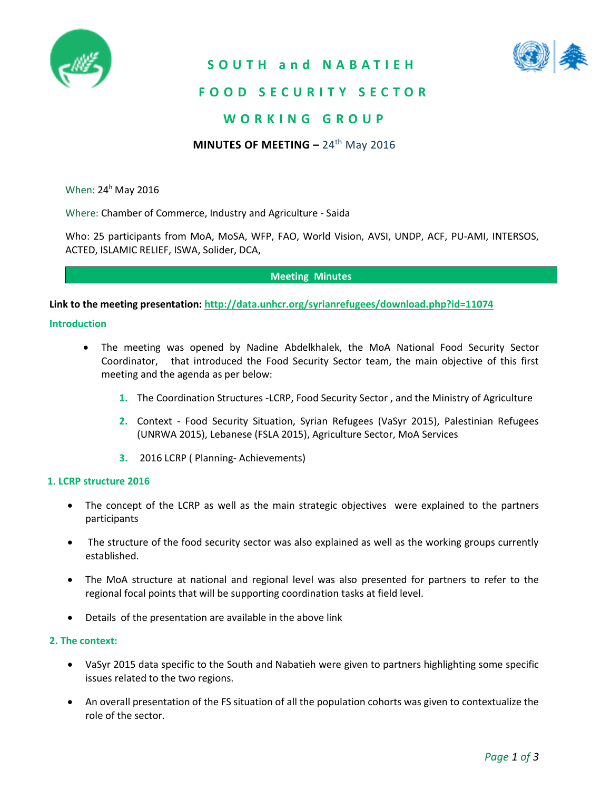

**S O U T H a n d N A B A T I E H**



## **F O O D S E C U R I T Y S E C T O R**

## **W O R K I N G G R O U P**

### **MINUTES OF MEETING –** 24th May 2016

When: 24<sup>h</sup> May 2016

Where: Chamber of Commerce, Industry and Agriculture - Saida

Who: 25 participants from MoA, MoSA, WFP, FAO, World Vision, AVSI, UNDP, ACF, PU-AMI, INTERSOS, ACTED, ISLAMIC RELIEF, ISWA, Solider, DCA,

**Meeting Minutes** 

**Link to the meeting presentation: <http://data.unhcr.org/syrianrefugees/download.php?id=11074>**

#### **Introduction**

- The meeting was opened by Nadine Abdelkhalek, the MoA National Food Security Sector Coordinator, that introduced the Food Security Sector team, the main objective of this first meeting and the agenda as per below:
	- **1.** The Coordination Structures -LCRP, Food Security Sector , and the Ministry of Agriculture
	- **2.** Context Food Security Situation, Syrian Refugees (VaSyr 2015), Palestinian Refugees (UNRWA 2015), Lebanese (FSLA 2015), Agriculture Sector, MoA Services
	- **3.** 2016 LCRP ( Planning- Achievements)

#### **1. LCRP structure 2016**

- The concept of the LCRP as well as the main strategic objectives were explained to the partners participants
- The structure of the food security sector was also explained as well as the working groups currently established.
- The MoA structure at national and regional level was also presented for partners to refer to the regional focal points that will be supporting coordination tasks at field level.
- Details of the presentation are available in the above link

#### **2. The context:**

- VaSyr 2015 data specific to the South and Nabatieh were given to partners highlighting some specific issues related to the two regions.
- An overall presentation of the FS situation of all the population cohorts was given to contextualize the role of the sector.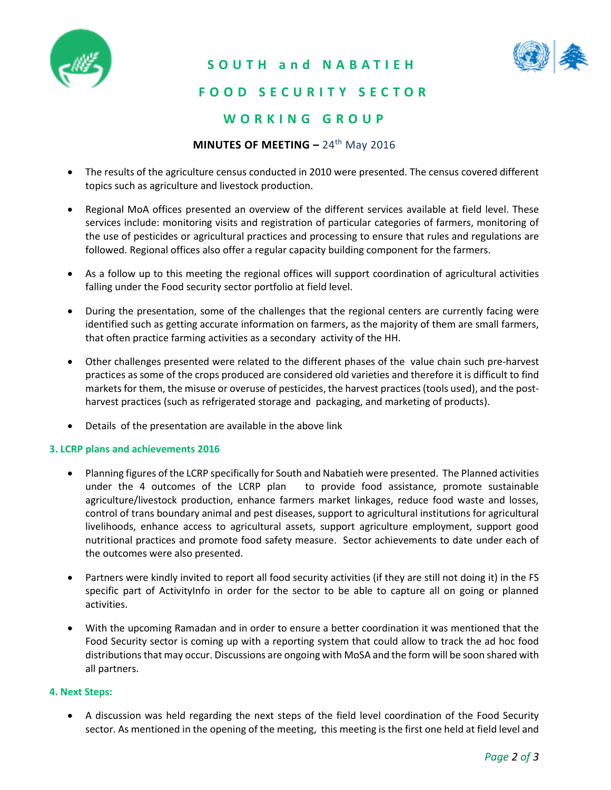

### **S O U T H a n d N A B A T I E H**



# **F O O D S E C U R I T Y S E C T O R**

# **W O R K I N G G R O U P**

#### **MINUTES OF MEETING –** 24th May 2016

- The results of the agriculture census conducted in 2010 were presented. The census covered different topics such as agriculture and livestock production.
- Regional MoA offices presented an overview of the different services available at field level. These services include: monitoring visits and registration of particular categories of farmers, monitoring of the use of pesticides or agricultural practices and processing to ensure that rules and regulations are followed. Regional offices also offer a regular capacity building component for the farmers.
- As a follow up to this meeting the regional offices will support coordination of agricultural activities falling under the Food security sector portfolio at field level.
- During the presentation, some of the challenges that the regional centers are currently facing were identified such as getting accurate information on farmers, as the majority of them are small farmers, that often practice farming activities as a secondary activity of the HH.
- Other challenges presented were related to the different phases of the value chain such pre-harvest practices as some of the crops produced are considered old varieties and therefore it is difficult to find markets for them, the misuse or overuse of pesticides, the harvest practices (tools used), and the postharvest practices (such as refrigerated storage and packaging, and marketing of products).
- Details of the presentation are available in the above link

#### **3. LCRP plans and achievements 2016**

- Planning figures of the LCRP specifically for South and Nabatieh were presented. The Planned activities under the 4 outcomes of the LCRP plan to provide food assistance, promote sustainable agriculture/livestock production, enhance farmers market linkages, reduce food waste and losses, control of trans boundary animal and pest diseases, support to agricultural institutions for agricultural livelihoods, enhance access to agricultural assets, support agriculture employment, support good nutritional practices and promote food safety measure. Sector achievements to date under each of the outcomes were also presented.
- Partners were kindly invited to report all food security activities (if they are still not doing it) in the FS specific part of ActivityInfo in order for the sector to be able to capture all on going or planned activities.
- With the upcoming Ramadan and in order to ensure a better coordination it was mentioned that the Food Security sector is coming up with a reporting system that could allow to track the ad hoc food distributions that may occur. Discussions are ongoing with MoSA and the form will be soon shared with all partners.

#### **4. Next Steps:**

 A discussion was held regarding the next steps of the field level coordination of the Food Security sector. As mentioned in the opening of the meeting, this meeting is the first one held at field level and